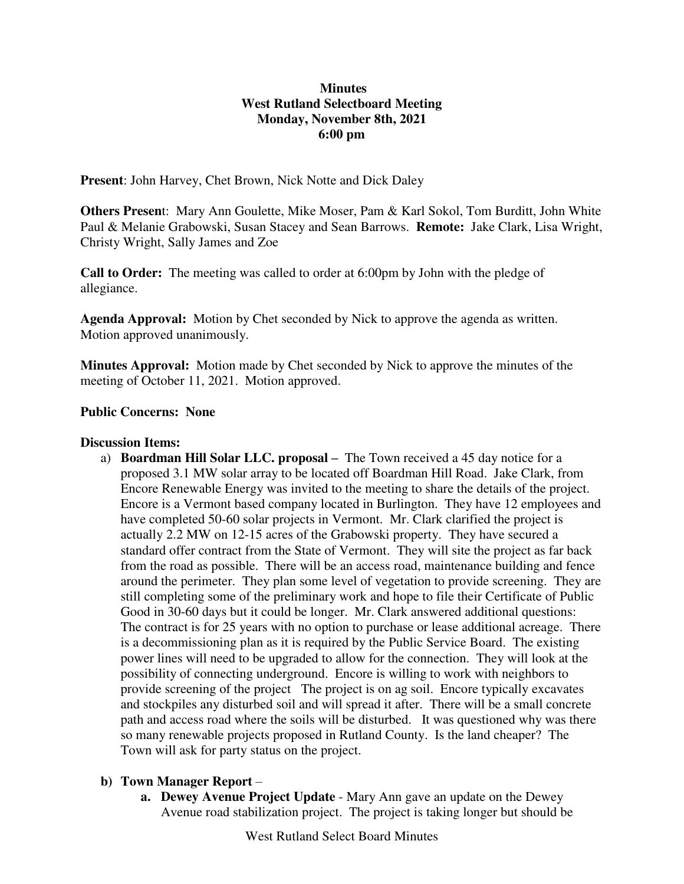#### **Minutes West Rutland Selectboard Meeting Monday, November 8th, 2021 6:00 pm**

**Present**: John Harvey, Chet Brown, Nick Notte and Dick Daley

**Others Presen**t: Mary Ann Goulette, Mike Moser, Pam & Karl Sokol, Tom Burditt, John White Paul & Melanie Grabowski, Susan Stacey and Sean Barrows. **Remote:** Jake Clark, Lisa Wright, Christy Wright, Sally James and Zoe

**Call to Order:** The meeting was called to order at 6:00pm by John with the pledge of allegiance.

**Agenda Approval:** Motion by Chet seconded by Nick to approve the agenda as written. Motion approved unanimously.

**Minutes Approval:** Motion made by Chet seconded by Nick to approve the minutes of the meeting of October 11, 2021. Motion approved.

## **Public Concerns: None**

#### **Discussion Items:**

a) **Boardman Hill Solar LLC. proposal –** The Town received a 45 day notice for a proposed 3.1 MW solar array to be located off Boardman Hill Road. Jake Clark, from Encore Renewable Energy was invited to the meeting to share the details of the project. Encore is a Vermont based company located in Burlington. They have 12 employees and have completed 50-60 solar projects in Vermont. Mr. Clark clarified the project is actually 2.2 MW on 12-15 acres of the Grabowski property. They have secured a standard offer contract from the State of Vermont. They will site the project as far back from the road as possible. There will be an access road, maintenance building and fence around the perimeter. They plan some level of vegetation to provide screening. They are still completing some of the preliminary work and hope to file their Certificate of Public Good in 30-60 days but it could be longer. Mr. Clark answered additional questions: The contract is for 25 years with no option to purchase or lease additional acreage.There is a decommissioning plan as it is required by the Public Service Board. The existing power lines will need to be upgraded to allow for the connection. They will look at the possibility of connecting underground. Encore is willing to work with neighbors to provide screening of the project The project is on ag soil. Encore typically excavates and stockpiles any disturbed soil and will spread it after. There will be a small concrete path and access road where the soils will be disturbed. It was questioned why was there so many renewable projects proposed in Rutland County. Is the land cheaper? The Town will ask for party status on the project.

## **b) Town Manager Report** –

**a. Dewey Avenue Project Update** - Mary Ann gave an update on the Dewey Avenue road stabilization project. The project is taking longer but should be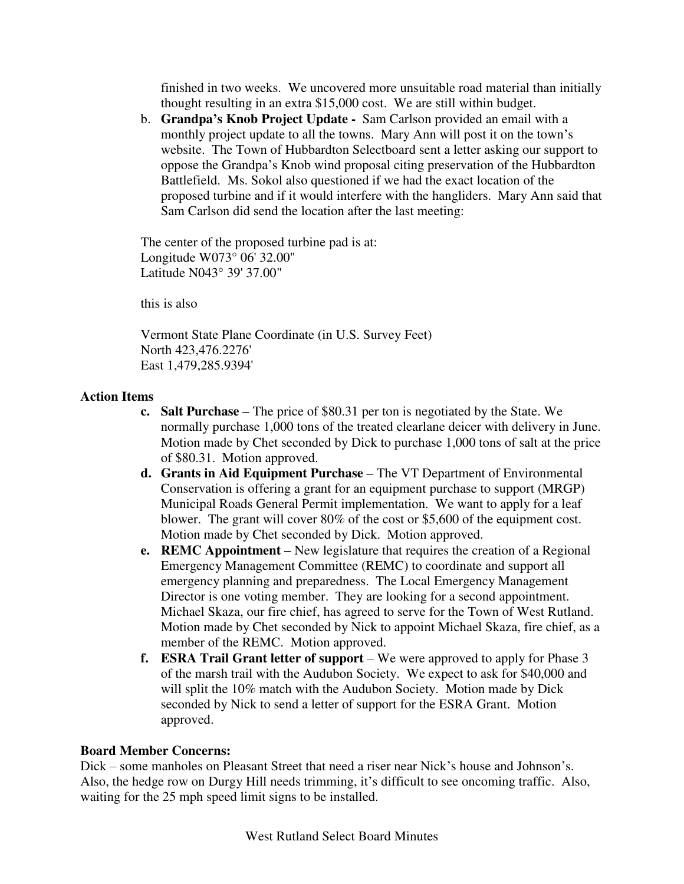finished in two weeks. We uncovered more unsuitable road material than initially thought resulting in an extra \$15,000 cost. We are still within budget.

b. **Grandpa's Knob Project Update -** Sam Carlson provided an email with a monthly project update to all the towns. Mary Ann will post it on the town's website. The Town of Hubbardton Selectboard sent a letter asking our support to oppose the Grandpa's Knob wind proposal citing preservation of the Hubbardton Battlefield. Ms. Sokol also questioned if we had the exact location of the proposed turbine and if it would interfere with the hangliders. Mary Ann said that Sam Carlson did send the location after the last meeting:

The center of the proposed turbine pad is at: Longitude W073° 06' 32.00" Latitude N043° 39' 37.00"

this is also

Vermont State Plane Coordinate (in U.S. Survey Feet) North 423,476.2276' East 1,479,285.9394'

# **Action Items**

- **c. Salt Purchase –** The price of \$80.31 per ton is negotiated by the State. We normally purchase 1,000 tons of the treated clearlane deicer with delivery in June. Motion made by Chet seconded by Dick to purchase 1,000 tons of salt at the price of \$80.31. Motion approved.
- **d. Grants in Aid Equipment Purchase –** The VT Department of Environmental Conservation is offering a grant for an equipment purchase to support (MRGP) Municipal Roads General Permit implementation. We want to apply for a leaf blower. The grant will cover 80% of the cost or \$5,600 of the equipment cost. Motion made by Chet seconded by Dick. Motion approved.
- **e. REMC Appointment –** New legislature that requires the creation of a Regional Emergency Management Committee (REMC) to coordinate and support all emergency planning and preparedness. The Local Emergency Management Director is one voting member. They are looking for a second appointment. Michael Skaza, our fire chief, has agreed to serve for the Town of West Rutland. Motion made by Chet seconded by Nick to appoint Michael Skaza, fire chief, as a member of the REMC. Motion approved.
- **f. ESRA Trail Grant letter of support** We were approved to apply for Phase 3 of the marsh trail with the Audubon Society. We expect to ask for \$40,000 and will split the 10% match with the Audubon Society. Motion made by Dick seconded by Nick to send a letter of support for the ESRA Grant. Motion approved.

## **Board Member Concerns:**

Dick – some manholes on Pleasant Street that need a riser near Nick's house and Johnson's. Also, the hedge row on Durgy Hill needs trimming, it's difficult to see oncoming traffic. Also, waiting for the 25 mph speed limit signs to be installed.